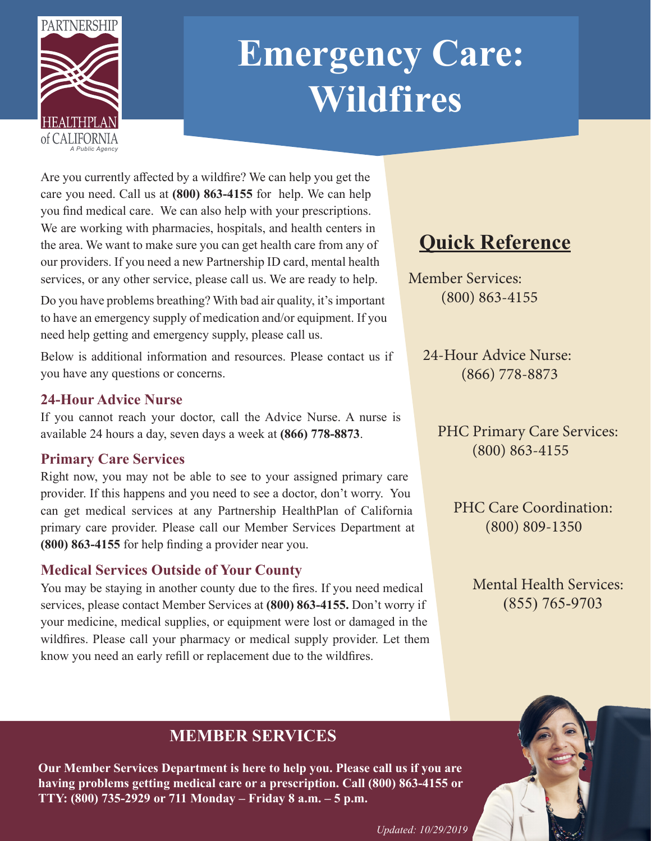

# **Emergency Care: Wildfires**

Are you currently affected by a wildfire? We can help you get the care you need. Call us at **(800) 863-4155** for help. We can help you find medical care. We can also help with your prescriptions. We are working with pharmacies, hospitals, and health centers in the area. We want to make sure you can get health care from any of our providers. If you need a new Partnership ID card, mental health services, or any other service, please call us. We are ready to help.

Do you have problems breathing? With bad air quality, it's important to have an emergency supply of medication and/or equipment. If you need help getting and emergency supply, please call us.

Below is additional information and resources. Please contact us if you have any questions or concerns.

#### **24-Hour Advice Nurse**

If you cannot reach your doctor, call the Advice Nurse. A nurse is available 24 hours a day, seven days a week at **(866) 778-8873**.

### **Primary Care Services**

Right now, you may not be able to see to your assigned primary care provider. If this happens and you need to see a doctor, don't worry. You can get medical services at any Partnership HealthPlan of California primary care provider. Please call our Member Services Department at **(800) 863-4155** for help finding a provider near you.

### **Medical Services Outside of Your County**

You may be staying in another county due to the fires. If you need medical services, please contact Member Services at **(800) 863-4155.** Don't worry if your medicine, medical supplies, or equipment were lost or damaged in the wildfires. Please call your pharmacy or medical supply provider. Let them know you need an early refill or replacement due to the wildfires.

## **Quick Reference**

 Member Services: (800) 863-4155

> 24-Hour Advice Nurse: (866) 778-8873

 PHC Primary Care Services: (800) 863-4155

PHC Care Coordination: (800) 809-1350

> Mental Health Services: (855) 765-9703

### **MEMBER SERVICES**

**Our Member Services Department is here to help you. Please call us if you are having problems getting medical care or a prescription. Call (800) 863-4155 or TTY: (800) 735-2929 or 711 Monday – Friday 8 a.m. – 5 p.m.**

*Updated: 10/29/2019*